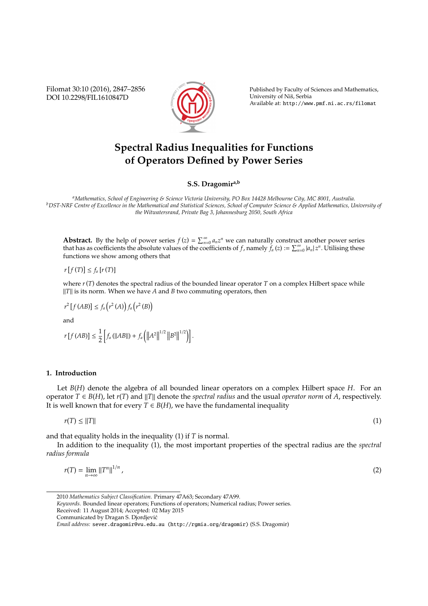Filomat 30:10 (2016), 2847–2856 DOI 10.2298/FIL1610847D



Published by Faculty of Sciences and Mathematics, University of Niš, Serbia Available at: http://www.pmf.ni.ac.rs/filomat

# **Spectral Radius Inequalities for Functions of Operators Defined by Power Series**

**S.S. Dragomira,b**

*<sup>a</sup>Mathematics, School of Engineering & Science Victoria University, PO Box 14428 Melbourne City, MC 8001, Australia. <sup>b</sup>DST-NRF Centre of Excellence in the Mathematical and Statistical Sciences, School of Computer Science & Applied Mathematics, University of the Witwatersrand, Private Bag 3, Johannesburg 2050, South Africa*

**Abstract.** By the help of power series  $f(z) = \sum_{n=0}^{\infty} a_n z^n$  we can naturally construct another power series that has as coefficients the absolute values of the coefficients of *f*, namely  $f_a(z) := \sum_{n=0}^{\infty} |a_n| z^n$ . Utilising these functions we show among others that

$$
r[f(T)] \le f_a[r(T)]
$$

where  $r(T)$  denotes the spectral radius of the bounded linear operator  $T$  on a complex Hilbert space while *||T||* is its norm. When we have *A* and *B* two commuting operators, then

$$
r^2[f(AB)] \le f_a\left(r^2(A)\right)f_a\left(r^2(B)\right)
$$

and

$$
r[f(AB)] \leq \frac{1}{2} \left[ f_a \left( ||AB|| \right) + f_a \left( ||A^2||^{1/2} ||B^2||^{1/2} \right) \right].
$$

## **1. Introduction**

Let *B*(*H*) denote the algebra of all bounded linear operators on a complex Hilbert space *H*. For an operator  $T \in B(H)$ , let  $r(T)$  and  $||T||$  denote the *spectral radius* and the usual *operator norm* of *A*, respectively. It is well known that for every  $T \in B(H)$ , we have the fundamental inequality

$$
r(T) \le ||T|| \tag{1}
$$

and that equality holds in the inequality (1) if *T* is normal.

In addition to the inequality (1), the most important properties of the spectral radius are the *spectral radius formula*

$$
r(T) = \lim_{n \to \infty} \left\|T^n\right\|^{1/n},\tag{2}
$$

2010 *Mathematics Subject Classification*. Primary 47A63; Secondary 47A99.

*Keywords*. Bounded linear operators; Functions of operators; Numerical radius; Power series.

Received: 11 August 2014; Accepted: 02 May 2015 Communicated by Dragan S. Djordjevic´

*Email address:* sever.dragomir@vu.edu.au (http://rgmia.org/dragomir) (S.S. Dragomir)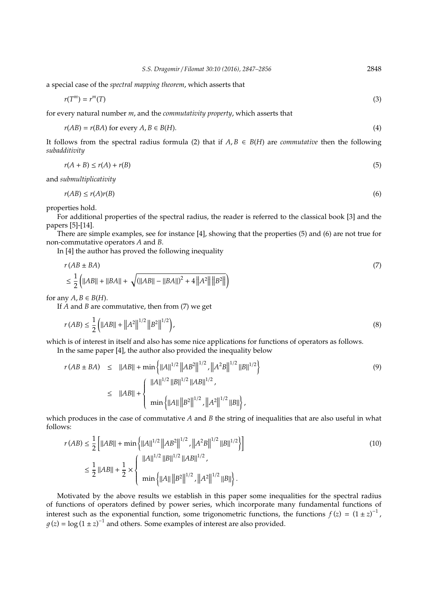a special case of the *spectral mapping theorem*, which asserts that

$$
r(T^m) = r^m(T) \tag{3}
$$

for every natural number *m*, and the *commutativity property*, which asserts that

$$
r(AB) = r(BA) \text{ for every } A, B \in B(H). \tag{4}
$$

It follows from the spectral radius formula (2) that if  $A, B \in B(H)$  are *commutative* then the following *subadditivity*

$$
r(A+B) \le r(A) + r(B) \tag{5}
$$

and *submultiplicativity*

$$
r(AB) \le r(A)r(B) \tag{6}
$$

properties hold.

For additional properties of the spectral radius, the reader is referred to the classical book [3] and the papers [5]-[14].

There are simple examples, see for instance [4], showing that the properties (5) and (6) are not true for non-commutative operators *A* and *B*.

In [4] the author has proved the following inequality

$$
r(AB \pm BA)
$$
  
\n
$$
\leq \frac{1}{2} (||AB|| + ||BA|| + \sqrt{(||AB|| - ||BA||)^2 + 4 ||A^2|| ||B^2||})
$$
\n(7)

for any  $A, B \in B(H)$ .

If *A* and *B* are commutative, then from (7) we get

$$
r(AB) \le \frac{1}{2} \left( ||AB|| + ||A^2||^{1/2} ||B^2||^{1/2} \right),\tag{8}
$$

which is of interest in itself and also has some nice applications for functions of operators as follows. In the same paper [4], the author also provided the inequality below

$$
r(AB \pm BA) \le ||AB|| + \min \left\{ ||A||^{1/2} ||AB^2||^{1/2}, ||A^2B||^{1/2} ||B||^{1/2} \right\}
$$
\n
$$
\le ||AB|| + \left\{ ||A||^{1/2} ||B||^{1/2} ||AB||^{1/2},
$$
\n
$$
\min \left\{ ||A|| ||B^2||^{1/2}, ||A^2||^{1/2} ||B|| \right\},
$$
\n(9)

which produces in the case of commutative *A* and *B* the string of inequalities that are also useful in what follows:

$$
r(AB) \le \frac{1}{2} \left[ ||AB|| + \min \left\{ ||A||^{1/2} ||AB^2||^{1/2}, ||A^2B||^{1/2} ||B||^{1/2} \right\} \right]
$$
  

$$
\le \frac{1}{2} ||AB|| + \frac{1}{2} \times \left\{ \frac{||A||^{1/2} ||B||^{1/2} ||AB||^{1/2}}{\min \left\{ ||A|| ||B^2||^{1/2}, ||A^2||^{1/2} ||B|| \right\}} \right].
$$
  
(10)

Motivated by the above results we establish in this paper some inequalities for the spectral radius of functions of operators defined by power series, which incorporate many fundamental functions of interest such as the exponential function, some trigonometric functions, the functions  $f(z) = (1 \pm z)^{-1}$ ,  $g(z) = \log(1 \pm z)^{-1}$  and others. Some examples of interest are also provided.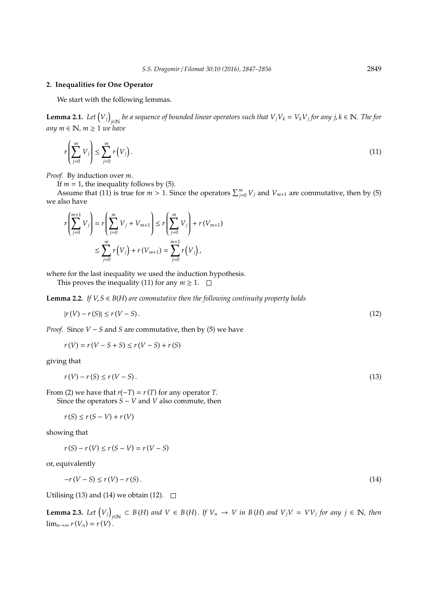#### **2. Inequalities for One Operator**

We start with the following lemmas.

**Lemma 2.1.** *Let Vj j*∈N *be a sequence of bounded linear operators such that VjV<sup>k</sup>* = *VkV<sup>j</sup> for any j*, *k* ∈ N*. The for*  $any m ∈ ℕ, m ≥ 1$  *we have* 

$$
r\left(\sum_{j=0}^{m}V_j\right)\leq \sum_{j=0}^{m}r\left(V_j\right).
$$
\n(11)

*Proof.* By induction over *m*.

If  $m = 1$ , the inequality follows by (5).

Assume that (11) is true for  $m > 1$ . Since the operators  $\sum_{j=0}^{m} V_j$  and  $V_{m+1}$  are commutative, then by (5) we also have

$$
r\left(\sum_{j=0}^{m+1} V_j\right) = r\left(\sum_{j=0}^{m} V_j + V_{m+1}\right) \le r\left(\sum_{j=0}^{m} V_j\right) + r\left(V_{m+1}\right)
$$
  

$$
\le \sum_{j=0}^{m} r\left(V_j\right) + r\left(V_{m+1}\right) = \sum_{j=0}^{m+1} r\left(V_j\right),
$$

where for the last inequality we used the induction hypothesis.

This proves the inequality (11) for any  $m \geq 1$ .  $\Box$ 

**Lemma 2.2.** *If V, S*  $\in$  *B*(*H*) *are commutative then the following continuity property holds* 

$$
|r(V) - r(S)| \le r(V - S). \tag{12}
$$

*Proof.* Since *V* − *S* and *S* are commutative, then by (5) we have

$$
r(V) = r(V - S + S) \le r(V - S) + r(S)
$$

giving that

$$
r(V) - r(S) \le r(V - S). \tag{13}
$$

From (2) we have that  $r(-T) = r(T)$  for any operator *T*. Since the operators *S* − *V* and *V* also commute, then

 $r(S) \leq r(S - V) + r(V)$ 

showing that

 $r(S) - r(V) \le r(S - V) = r(V - S)$ 

or, equivalently

$$
-r(V-S) \le r(V) - r(S). \tag{14}
$$

Utilising (13) and (14) we obtain (12).  $\Box$ 

**Lemma 2.3.** *Let Vj*  $E_{j ∈ N}$  ⊂ *B*(*H*) and  $V ∈ B(H)$ . If  $V_n → V$  in  $B(H)$  and  $V_jV = VV_j$  for any  $j ∈ N$ , then  $\lim_{n\to\infty} r(V_n) = r(V)$ .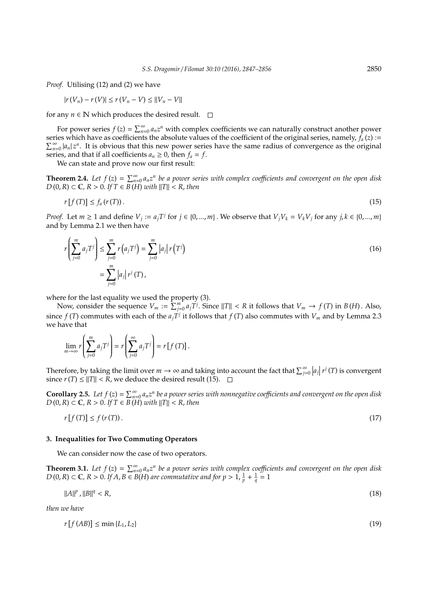*Proof.* Utilising (12) and (2) we have

$$
|r(V_n) - r(V)| \le r(V_n - V) \le ||V_n - V||
$$

for any  $n \in \mathbb{N}$  which produces the desired result.  $\square$ 

For power series  $f(z) = \sum_{n=0}^{\infty} a_n z^n$  with complex coefficients we can naturally construct another power series which have as coefficients the absolute values of the coefficient of the original series, namely,  $f_a(z) :=$  $\sum_{n=0}^{\infty} |a_n| z^n$ . It is obvious that this new power series have the same radius of convergence as the original series, and that if all coefficients  $a_n \geq 0$ , then  $f_a = f$ .

We can state and prove now our first result:

**Theorem 2.4.** Let  $f(z) = \sum_{n=0}^{\infty} a_n z^n$  be a power series with complex coefficients and convergent on the open disk *D* (0, *R*) ⊂ **C**, *R* > 0. *If T* ∈ *B* (*H*) *with*  $||T||$  < *R*, *then* 

$$
r[f(T)] \le f_a(r(T)). \tag{15}
$$

*Proof.* Let  $m \ge 1$  and define  $V_j := a_j T^j$  for  $j \in \{0, ..., m\}$ . We observe that  $V_j V_k = V_k V_j$  for any  $j, k \in \{0, ..., m\}$ and by Lemma 2.1 we then have

$$
r\left(\sum_{j=0}^{m} a_{j} T^{j}\right) \leq \sum_{j=0}^{m} r\left(a_{j} T^{j}\right) = \sum_{j=0}^{m} |a_{j}| r(T^{j})
$$
\n
$$
= \sum_{j=0}^{m} |a_{j}| r^{j} (T),
$$
\n(16)

where for the last equality we used the property (3).

Now, consider the sequence  $V_m := \sum_{j=0}^{m} a_j T^j$ . Since  $||T|| < R$  it follows that  $V_m \to f(T)$  in  $B(H)$ . Also, since  $f(T)$  commutes with each of the  $a_jT^j$  it follows that  $f(T)$  also commutes with  $V_m$  and by Lemma 2.3 we have that

$$
\lim_{m \to \infty} r \left( \sum_{j=0}^{m} a_j T^j \right) = r \left( \sum_{j=0}^{\infty} a_j T^j \right) = r \left[ f \left( T \right) \right].
$$

Therefore, by taking the limit over  $m \to \infty$  and taking into account the fact that  $\sum_{j=0}^{\infty} |a_j| r^j(T)$  is convergent since *r*(*T*) ≤  $||T||$  < *R*, we deduce the desired result (15).  $□$ 

**Corollary 2.5.** Let  $f(z) = \sum_{n=0}^{\infty} a_n z^n$  be a power series with nonnegative coefficients and convergent on the open disk *D* (0, *R*) ⊂ **C**, *R* > 0. *If T* ∈ *B* (*H*) *with*  $||T||$  < *R*, *then* 

$$
r[f(T)] \le f(r(T)).\tag{17}
$$

#### **3. Inequalities for Two Commuting Operators**

We can consider now the case of two operators.

**Theorem 3.1.** Let  $f(z) = \sum_{n=0}^{\infty} a_n z^n$  be a power series with complex coefficients and convergent on the open disk *D* (0, *R*) ⊂ **C**, *R* > 0. *If A*, *B* ∈ *B*(*H*) are commutative and for  $p > 1$ ,  $\frac{1}{p} + \frac{1}{q} = 1$ 

$$
||A||^p \, , ||B||^q < R,\tag{18}
$$

*then we have*

 $\sim$ 

$$
r[f(AB)] \le \min\{L_1, L_2\} \tag{19}
$$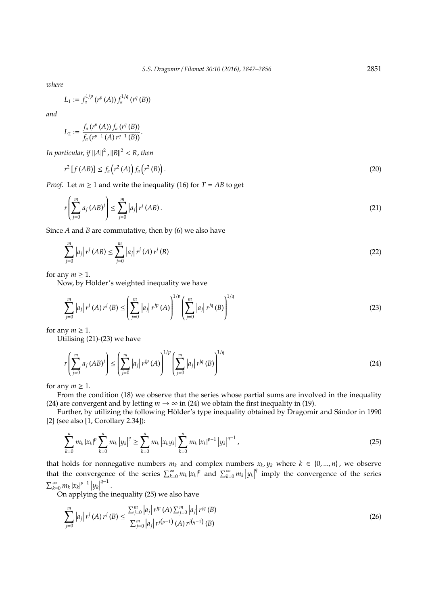*where*

$$
L_1 := f_a^{1/p} (r^p(A)) f_a^{1/q} (r^q(B))
$$

*and*

$$
L_2 := \frac{f_a (r^p(A)) f_a (r^q(B))}{f_a (r^{p-1}(A) r^{q-1}(B))}.
$$

In particular, if  $||A||^2$  ,  $||B||^2 < R$ , then

$$
r^{2}[f(AB)] \le f_{a}(r^{2}(A))f_{a}(r^{2}(B)). \tag{20}
$$

*Proof.* Let  $m \geq 1$  and write the inequality (16) for  $T = AB$  to get

$$
r\left(\sum_{j=0}^{m} a_j (AB)^j\right) \le \sum_{j=0}^{m} |a_j| r^j (AB).
$$
 (21)

Since *A* and *B* are commutative, then by (6) we also have

$$
\sum_{j=0}^{m} |a_j| r^j (AB) \le \sum_{j=0}^{m} |a_j| r^j (A) r^j (B)
$$
\n(22)

for any  $m \geq 1$ .

Now, by Hölder's weighted inequality we have

$$
\sum_{j=0}^{m} |a_j| r^j (A) r^j (B) \le \left( \sum_{j=0}^{m} |a_j| r^{jp} (A) \right)^{1/p} \left( \sum_{j=0}^{m} |a_j| r^{jq} (B) \right)^{1/q}
$$
(23)

for any  $m \geq 1$ .

Utilising (21)-(23) we have

$$
r\left(\sum_{j=0}^{m} a_j (AB)^j\right) \le \left(\sum_{j=0}^{m} |a_j| r^{jp} (A)\right)^{1/p} \left(\sum_{j=0}^{m} |a_j| r^{jq} (B)\right)^{1/q}
$$
(24)

for any  $m \geq 1$ .

From the condition (18) we observe that the series whose partial sums are involved in the inequality (24) are convergent and by letting  $m \to \infty$  in (24) we obtain the first inequality in (19).

Further, by utilizing the following Hölder's type inequality obtained by Dragomir and Sándor in 1990 [2] (see also [1, Corollary 2.34]):

$$
\sum_{k=0}^{n} m_{k} |x_{k}|^{p} \sum_{k=0}^{n} m_{k} |y_{k}|^{q} \geq \sum_{k=0}^{n} m_{k} |x_{k} y_{k}| \sum_{k=0}^{n} m_{k} |x_{k}|^{p-1} |y_{k}|^{q-1}, \qquad (25)
$$

that holds for nonnegative numbers  $m_k$  and complex numbers  $x_k$ ,  $y_k$  where  $k \in \{0, ..., n\}$ , we observe that the convergence of the series  $\sum_{k=0}^{\infty} m_k |x_k|^p$  and  $\sum_{k=0}^{\infty} m_k |y_k|$ <sup>q</sup> imply the convergence of the series  $\sum_{k=0}^{\infty} m_k |x_k|^{p-1} |y_k|^{q-1}$ .

 $\text{On applying the inequality (25) we also have}$ 

$$
\sum_{j=0}^{m} |a_j| r^j (A) r^j (B) \le \frac{\sum_{j=0}^{m} |a_j| r^{jp} (A) \sum_{j=0}^{m} |a_j| r^{jq} (B)}{\sum_{j=0}^{m} |a_j| r^{j(p-1)} (A) r^{j(q-1)} (B)}
$$
(26)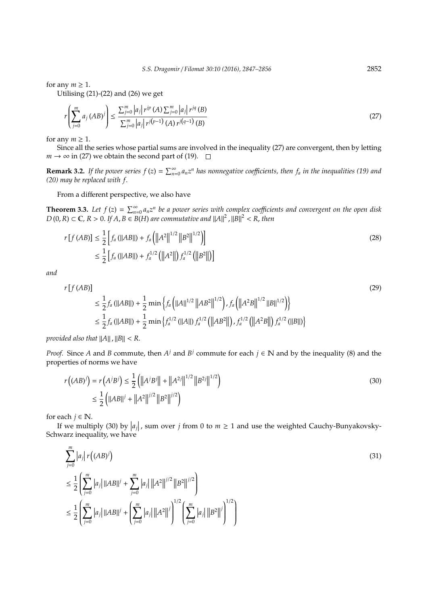for any  $m \geq 1$ .

Utilising  $(21)-(22)$  and  $(26)$  we get

$$
r\left(\sum_{j=0}^{m} a_j \left(AB\right)^j\right) \le \frac{\sum_{j=0}^{m} |a_j| \, r^{jp} \left(A\right) \sum_{j=0}^{m} |a_j| \, r^{jq} \left(B\right)}{\sum_{j=0}^{m} |a_j| \, r^{j(p-1)} \left(A\right) \, r^{j(q-1)} \left(B\right)}
$$
\n(27)

for any  $m \geq 1$ .

Since all the series whose partial sums are involved in the inequality (27) are convergent, then by letting *m* → ∞ in (27) we obtain the second part of (19).  $\Box$ 

**Remark 3.2.** If the power series  $f(z) = \sum_{n=0}^{\infty} a_n z^n$  has nonnegative coefficients, then  $f_a$  in the inequalities (19) and *(20) may be replaced with f*.

From a different perspective, we also have

**Theorem 3.3.** Let  $f(z) = \sum_{n=0}^{\infty} a_n z^n$  be a power series with complex coefficients and convergent on the open disk  $D(0,R) \subset \mathbb{C}$ ,  $R > 0$ . If  $A, B \in B(H)$  are commutative and  $||A||^2$ ,  $||B||^2 < R$ , then

$$
r[f(AB)] \leq \frac{1}{2} \left[ f_a \left( ||AB|| \right) + f_a \left( ||A^2||^{1/2} ||B^2||^{1/2} \right) \right]
$$
  

$$
\leq \frac{1}{2} \left[ f_a \left( ||AB|| \right) + f_a^{1/2} \left( ||A^2|| \right) f_a^{1/2} \left( ||B^2|| \right) \right]
$$
  
(28)

*and*

$$
r[f(AB)]
$$
  
\n
$$
\leq \frac{1}{2} f_a (||AB||) + \frac{1}{2} \min \left\{ f_a \left( ||A||^{1/2} ||AB^2||^{1/2} \right), f_a \left( ||A^2B||^{1/2} ||B||^{1/2} \right) \right\}
$$
  
\n
$$
\leq \frac{1}{2} f_a (||AB||) + \frac{1}{2} \min \left\{ f_a^{1/2} (||A||) f_a^{1/2} \left( ||AB^2|| \right), f_a^{1/2} \left( ||A^2B|| \right) f_a^{1/2} (||B||) \right\}
$$
\n
$$
(29)
$$

*provided also that*  $||A||$  ,  $||B|| < R$ .

*Proof.* Since *A* and *B* commute, then  $A^j$  and  $B^j$  commute for each  $j \in \mathbb{N}$  and by the inequality (8) and the properties of norms we have

$$
r((AB)^j) = r(A^jB^j) \le \frac{1}{2} \left( ||A^jB^j|| + ||A^{2j}||^{1/2} ||B^{2j}||^{1/2} \right)
$$
  
 
$$
\le \frac{1}{2} \left( ||AB||^j + ||A^2||^{j/2} ||B^2||^{j/2} \right)
$$
 (30)

for each  $j \in \mathbb{N}$ .

If we multiply (30) by  $|a_j|$ , sum over *j* from 0 to  $m \ge 1$  and use the weighted Cauchy-Bunyakovsky-Schwarz inequality, we have

$$
\sum_{j=0}^{m} |a_j| r ( (AB)^j)
$$
\n
$$
\leq \frac{1}{2} \left( \sum_{j=0}^{m} |a_j| ||AB||^j + \sum_{j=0}^{m} |a_j| ||A^2||^{j/2} ||B^2||^{j/2} \right)
$$
\n
$$
\leq \frac{1}{2} \left( \sum_{j=0}^{m} |a_j| ||AB||^j + \left( \sum_{j=0}^{m} |a_j| ||A^2||^j \right)^{1/2} \left( \sum_{j=0}^{m} |a_j| ||B^2||^j \right)^{1/2} \right)
$$
\n(31)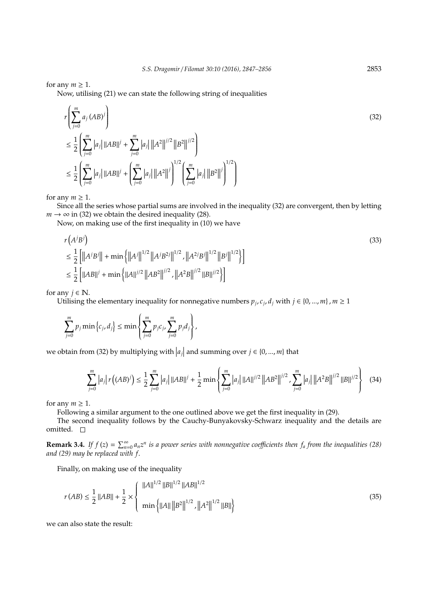for any  $m \geq 1$ .

Now, utilising (21) we can state the following string of inequalities

$$
r\left(\sum_{j=0}^{m} a_j (AB)^j\right)
$$
  
\n
$$
\leq \frac{1}{2} \left(\sum_{j=0}^{m} |a_j| ||AB||^j + \sum_{j=0}^{m} |a_j| ||A^2||^{j/2} ||B^2||^{j/2}\right)
$$
  
\n
$$
\leq \frac{1}{2} \left(\sum_{j=0}^{m} |a_j| ||AB||^j + \left(\sum_{j=0}^{m} |a_j| ||A^2||^j\right)^{1/2} \left(\sum_{j=0}^{m} |a_j| ||B^2||^j\right)^{1/2}\right)
$$
\n(32)

for any  $m \geq 1$ .

Since all the series whose partial sums are involved in the inequality (32) are convergent, then by letting  $m \rightarrow \infty$  in (32) we obtain the desired inequality (28).

Now, on making use of the first inequality in (10) we have

$$
r(A^{j}B^{j})
$$
  
\n
$$
\leq \frac{1}{2} \left[ ||A^{j}B^{j}|| + \min \left\{ ||A^{j}||^{1/2} ||A^{j}B^{2j}||^{1/2}, ||A^{2j}B^{j}||^{1/2} ||B^{j}||^{1/2} \right\} \right]
$$
  
\n
$$
\leq \frac{1}{2} \left[ ||AB||^{j} + \min \left\{ ||A||^{j/2} ||AB^{2}||^{j/2}, ||A^{2}B||^{j/2} ||B||^{j/2} \right\} \right]
$$
\n(33)

for any  $j \in \mathbb{N}$ .

Utilising the elementary inequality for nonnegative numbers  $p_j$ ,  $c_j$ ,  $d_j$  with  $j \in \{0, ..., m\}$ ,  $m \ge 1$ 

$$
\sum_{j=0}^m p_j \min\left\{c_j, d_j\right\} \leq \min\left\{\sum_{j=0}^m p_j c_j, \sum_{j=0}^m p_j d_j\right\},\,
$$

we obtain from (32) by multiplying with  $|a_j|$  and summing over  $j \in \{0, ..., m\}$  that

$$
\sum_{j=0}^{m} |a_j| r((AB)^j) \le \frac{1}{2} \sum_{j=0}^{m} |a_j| \|AB\|^j + \frac{1}{2} \min \left\{ \sum_{j=0}^{m} |a_j| \|A\|^{j/2} \|AB^2\|^{j/2} \sum_{j=0}^{m} |a_j| \|A^2B\|^{j/2} \|B\|^{j/2} \right\}
$$
(34)

for any  $m \geq 1$ .

Following a similar argument to the one outlined above we get the first inequality in (29).

The second inequality follows by the Cauchy-Bunyakovsky-Schwarz inequality and the details are omitted.  $\square$ 

**Remark 3.4.** If  $f(z) = \sum_{n=0}^{\infty} a_n z^n$  is a power series with nonnegative coefficients then  $f_a$  from the inequalities (28) *and (29) may be replaced with f*.

Finally, on making use of the inequality

$$
r(AB) \le \frac{1}{2} ||AB|| + \frac{1}{2} \times \left\{ \frac{||A||^{1/2} ||B||^{1/2} ||AB||^{1/2}}{\min \{ ||A|| ||B^2||^{1/2}, ||A^2||^{1/2} ||B|| \}} \right\}
$$
(35)

we can also state the result: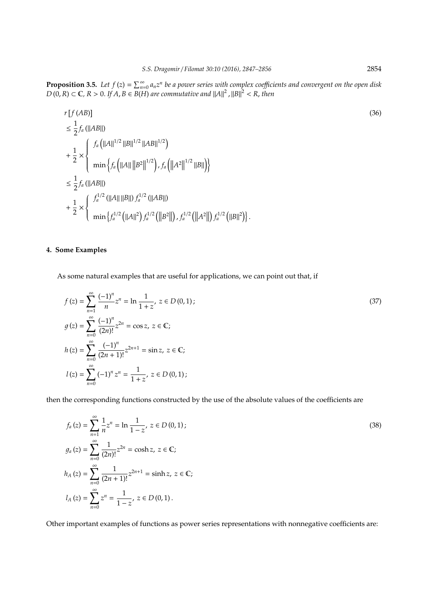**Proposition 3.5.** Let  $f(z) = \sum_{n=0}^{\infty} a_n z^n$  be a power series with complex coefficients and convergent on the open disk  $D(0,R) \subset \mathbb{C}$ ,  $R > 0$ . If  $A, B \in B(H)$  are commutative and  $||A||^2$ ,  $||B||^2 < R$ , then

$$
r[f(AB)]
$$
\n
$$
\leq \frac{1}{2} f_a (||AB||)
$$
\n
$$
+ \frac{1}{2} \times \begin{cases} f_a (||A||^{1/2} ||B||^{1/2} ||AB||^{1/2}) \\ \min \{ f_a (||A|| ||B^2||^{1/2}) , f_a (||A^2||^{1/2} ||B||) \} \end{cases}
$$
\n
$$
\leq \frac{1}{2} f_a (||AB||)
$$
\n
$$
+ \frac{1}{2} \times \begin{cases} f_a^{1/2} (||A|| ||B||) f_a^{1/2} (||AB||) \\ \min \{ f_a^{1/2} (||A||^2) f_a^{1/2} (||B^2||) , f_a^{1/2} (||A^2||) f_a^{1/2} (||B||^2) \} . \end{cases}
$$
\n(36)

## **4. Some Examples**

As some natural examples that are useful for applications, we can point out that, if

$$
f(z) = \sum_{n=1}^{\infty} \frac{(-1)^n}{n} z^n = \ln \frac{1}{1+z}, \ z \in D(0,1);
$$
  
\n
$$
g(z) = \sum_{n=0}^{\infty} \frac{(-1)^n}{(2n)!} z^{2n} = \cos z, \ z \in \mathbb{C};
$$
  
\n
$$
h(z) = \sum_{n=0}^{\infty} \frac{(-1)^n}{(2n+1)!} z^{2n+1} = \sin z, \ z \in \mathbb{C};
$$
  
\n
$$
l(z) = \sum_{n=0}^{\infty} (-1)^n z^n = \frac{1}{1+z}, \ z \in D(0,1);
$$
  
\n(37)

then the corresponding functions constructed by the use of the absolute values of the coefficients are

$$
f_a(z) = \sum_{n=1}^{\infty} \frac{1}{n} z^n = \ln \frac{1}{1-z}, \ z \in D(0,1);
$$
  
\n
$$
g_a(z) = \sum_{n=0}^{\infty} \frac{1}{(2n)!} z^{2n} = \cosh z, \ z \in \mathbb{C};
$$
  
\n
$$
h_A(z) = \sum_{n=0}^{\infty} \frac{1}{(2n+1)!} z^{2n+1} = \sinh z, \ z \in \mathbb{C};
$$
  
\n
$$
l_A(z) = \sum_{n=0}^{\infty} z^n = \frac{1}{1-z}, \ z \in D(0,1).
$$
  
\n(38)

Other important examples of functions as power series representations with nonnegative coefficients are: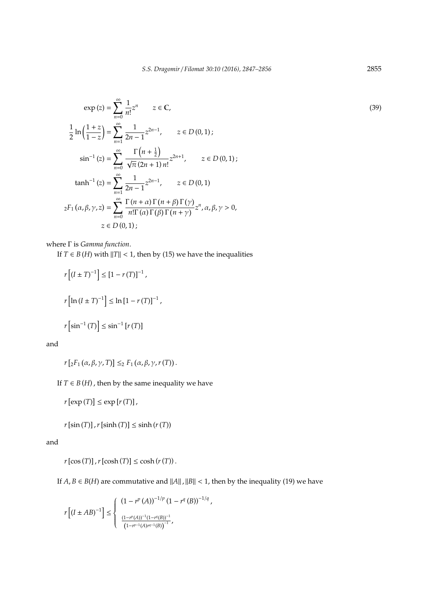$$
\exp(z) = \sum_{n=0}^{\infty} \frac{1}{n!} z^n \qquad z \in \mathbb{C},
$$
\n
$$
\frac{1}{2} \ln \left( \frac{1+z}{1-z} \right) = \sum_{n=1}^{\infty} \frac{1}{2n-1} z^{2n-1}, \qquad z \in D(0,1);
$$
\n
$$
\sin^{-1}(z) = \sum_{n=0}^{\infty} \frac{\Gamma(n+\frac{1}{2})}{\sqrt{\pi}(2n+1)n!} z^{2n+1}, \qquad z \in D(0,1);
$$
\n
$$
\tanh^{-1}(z) = \sum_{n=1}^{\infty} \frac{1}{2n-1} z^{2n-1}, \qquad z \in D(0,1)
$$
\n
$$
{}_2F_1(\alpha, \beta, \gamma, z) = \sum_{n=0}^{\infty} \frac{\Gamma(n+\alpha)\Gamma(n+\beta)\Gamma(\gamma)}{n!\Gamma(\alpha)\Gamma(\beta)\Gamma(n+\gamma)} z^n, \alpha, \beta, \gamma > 0,
$$
\n
$$
z \in D(0,1);
$$
\n(39)

where Γ is *Gamma function*.

If  $T \in B(H)$  with  $||T|| < 1$ , then by (15) we have the inequalities

$$
r[(I \pm T)^{-1}] \le [1 - r(T)]^{-1},
$$
  

$$
r[\ln(I \pm T)^{-1}] \le \ln[1 - r(T)]^{-1},
$$
  

$$
r[\sin^{-1}(T)] \le \sin^{-1}[r(T)]
$$

and

$$
r[zF_1(\alpha,\beta,\gamma,T)] \leq_2 F_1(\alpha,\beta,\gamma,r(T)).
$$

If  $T \in B(H)$ , then by the same inequality we have

 $r \left[ exp(T) \right] \leq exp[r(T)]$ ,

 $r[\sin(T)]$ ,  $r[\sinh(T)] \leq \sinh(r(T))$ 

and

 $r[\cos(T)]$ ,  $r[\cosh(T)] \leq \cosh(r(T))$ .

If  $A, B \in B(H)$  are commutative and  $||A||$ ,  $||B|| < 1$ , then by the inequality (19) we have

$$
r\left[\left(I\pm AB\right)^{-1}\right]\leq\left\{\begin{array}{l} \left(1-r^{p}\left(A\right)\right)^{-1/p}\left(1-r^{q}\left(B\right)\right)^{-1/q}, \\ \\ \frac{\left(1-r^{p}\left(A\right)\right)^{-1}\left(1-r^{q}\left(B\right)\right)^{-1}}{\left(1-r^{p-1}\left(A\right)r^{q-1}\left(B\right)\right)^{-1}}, \end{array}\right.
$$